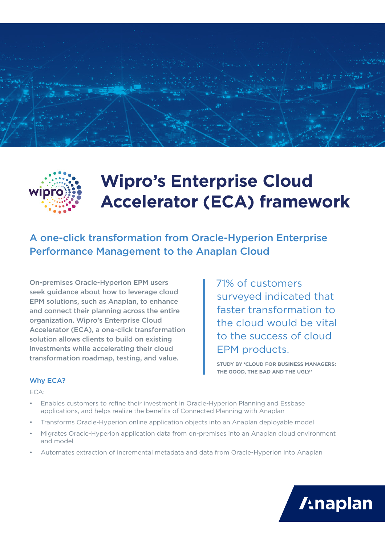



# **Wipro's Enterprise Cloud Accelerator (ECA) framework**

A one-click transformation from Oracle-Hyperion Enterprise Performance Management to the Anaplan Cloud

On-premises Oracle-Hyperion EPM users seek guidance about how to leverage cloud EPM solutions, such as Anaplan, to enhance and connect their planning across the entire organization. Wipro's Enterprise Cloud Accelerator (ECA), a one-click transformation solution allows clients to build on existing investments while accelerating their cloud transformation roadmap, testing, and value.

 71% of customers surveyed indicated that faster transformation to the cloud would be vital to the success of cloud EPM products.

**STUDY BY 'CLOUD FOR BUSINESS MANAGERS: THE GOOD, THE BAD AND THE UGLY'**

#### Why ECA?

ECA:

- Enables customers to refine their investment in Oracle-Hyperion Planning and Essbase applications, and helps realize the benefits of Connected Planning with Anaplan
- Transforms Oracle-Hyperion online application objects into an Anaplan deployable model
- Migrates Oracle-Hyperion application data from on-premises into an Anaplan cloud environment and model
- Automates extraction of incremental metadata and data from Oracle-Hyperion into Anaplan